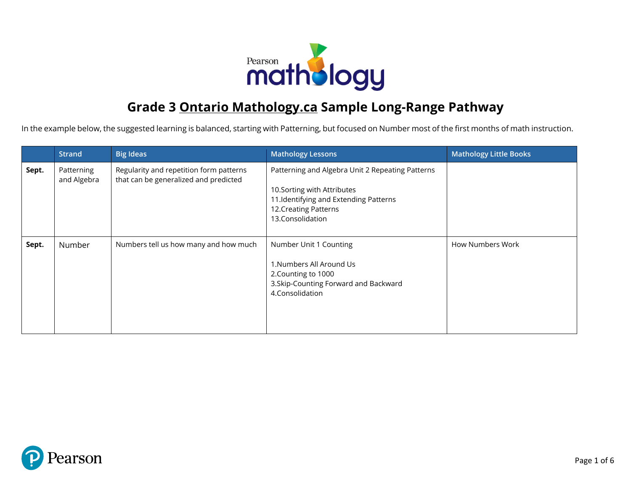

## **Grade 3 Ontario Mathology.ca Sample Long-Range Pathway**

In the example below, the suggested learning is balanced, starting with Patterning, but focused on Number most of the first months of math instruction.

|       | <b>Strand</b>             | <b>Big Ideas</b>                                                                 | <b>Mathology Lessons</b>                                                                                                                                              | <b>Mathology Little Books</b> |
|-------|---------------------------|----------------------------------------------------------------------------------|-----------------------------------------------------------------------------------------------------------------------------------------------------------------------|-------------------------------|
| Sept. | Patterning<br>and Algebra | Regularity and repetition form patterns<br>that can be generalized and predicted | Patterning and Algebra Unit 2 Repeating Patterns<br>10. Sorting with Attributes<br>11.Identifying and Extending Patterns<br>12. Creating Patterns<br>13.Consolidation |                               |
| Sept. | Number                    | Numbers tell us how many and how much                                            | Number Unit 1 Counting<br>1. Numbers All Around Us<br>2. Counting to 1000<br>3. Skip-Counting Forward and Backward<br>4.Consolidation                                 | How Numbers Work              |

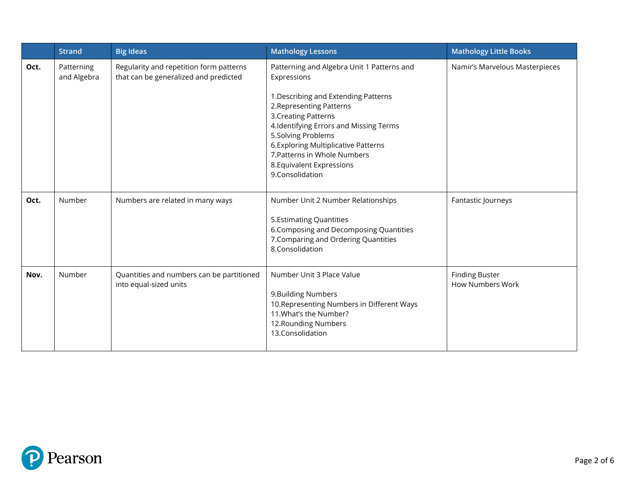|      | <b>Strand</b>             | <b>Big Ideas</b>                                                                 | <b>Mathology Lessons</b>                                                                                                                                                                                                                                                                                                                      | <b>Mathology Little Books</b>                    |
|------|---------------------------|----------------------------------------------------------------------------------|-----------------------------------------------------------------------------------------------------------------------------------------------------------------------------------------------------------------------------------------------------------------------------------------------------------------------------------------------|--------------------------------------------------|
| Oct. | Patterning<br>and Algebra | Regularity and repetition form patterns<br>that can be generalized and predicted | Patterning and Algebra Unit 1 Patterns and<br>Expressions<br>1. Describing and Extending Patterns<br>2. Representing Patterns<br>3. Creating Patterns<br>4.Identifying Errors and Missing Terms<br>5.Solving Problems<br>6. Exploring Multiplicative Patterns<br>7. Patterns in Whole Numbers<br>8. Equivalent Expressions<br>9.Consolidation | Namir's Marvelous Masterpieces                   |
| Oct. | Number                    | Numbers are related in many ways                                                 | Number Unit 2 Number Relationships<br>5. Estimating Quantities<br>6. Composing and Decomposing Quantities<br>7. Comparing and Ordering Quantities<br>8.Consolidation                                                                                                                                                                          | Fantastic Journeys                               |
| Nov. | Number                    | Quantities and numbers can be partitioned<br>into equal-sized units              | Number Unit 3 Place Value<br>9. Building Numbers<br>10. Representing Numbers in Different Ways<br>11. What's the Number?<br>12. Rounding Numbers<br>13.Consolidation                                                                                                                                                                          | <b>Finding Buster</b><br><b>How Numbers Work</b> |

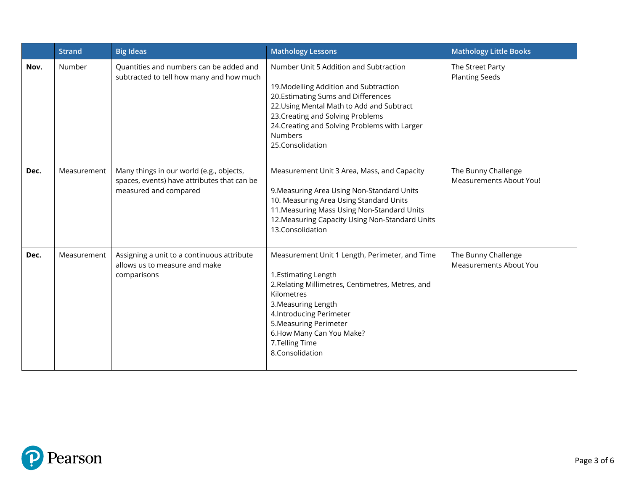|      | <b>Strand</b> | <b>Big Ideas</b>                                                                                                 | <b>Mathology Lessons</b>                                                                                                                                                                                                                                                                        | <b>Mathology Little Books</b>                        |
|------|---------------|------------------------------------------------------------------------------------------------------------------|-------------------------------------------------------------------------------------------------------------------------------------------------------------------------------------------------------------------------------------------------------------------------------------------------|------------------------------------------------------|
| Nov. | Number        | Quantities and numbers can be added and<br>subtracted to tell how many and how much                              | Number Unit 5 Addition and Subtraction<br>19. Modelling Addition and Subtraction<br>20.Estimating Sums and Differences<br>22. Using Mental Math to Add and Subtract<br>23. Creating and Solving Problems<br>24. Creating and Solving Problems with Larger<br><b>Numbers</b><br>25.Consolidation | The Street Party<br><b>Planting Seeds</b>            |
| Dec. | Measurement   | Many things in our world (e.g., objects,<br>spaces, events) have attributes that can be<br>measured and compared | Measurement Unit 3 Area, Mass, and Capacity<br>9. Measuring Area Using Non-Standard Units<br>10. Measuring Area Using Standard Units<br>11. Measuring Mass Using Non-Standard Units<br>12. Measuring Capacity Using Non-Standard Units<br>13.Consolidation                                      | The Bunny Challenge<br>Measurements About You!       |
| Dec. | Measurement   | Assigning a unit to a continuous attribute<br>allows us to measure and make<br>comparisons                       | Measurement Unit 1 Length, Perimeter, and Time<br>1. Estimating Length<br>2. Relating Millimetres, Centimetres, Metres, and<br>Kilometres<br>3. Measuring Length<br>4. Introducing Perimeter<br>5. Measuring Perimeter<br>6. How Many Can You Make?<br>7.Telling Time<br>8.Consolidation        | The Bunny Challenge<br><b>Measurements About You</b> |

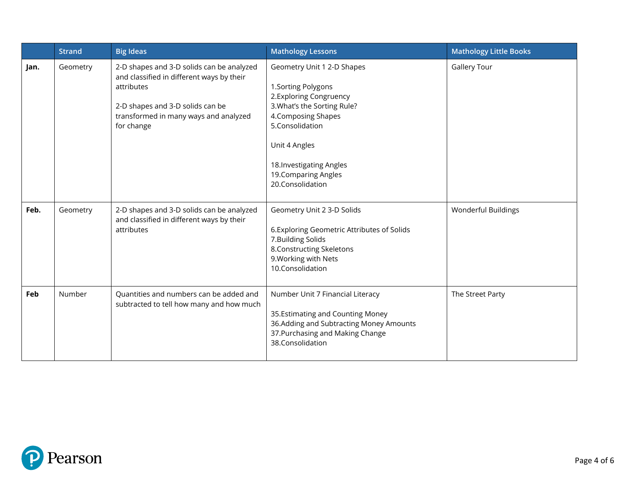|      | <b>Strand</b> | <b>Big Ideas</b>                                                                                                                                                                                | <b>Mathology Lessons</b>                                                                                                                                                                                                                       | <b>Mathology Little Books</b> |
|------|---------------|-------------------------------------------------------------------------------------------------------------------------------------------------------------------------------------------------|------------------------------------------------------------------------------------------------------------------------------------------------------------------------------------------------------------------------------------------------|-------------------------------|
| Jan. | Geometry      | 2-D shapes and 3-D solids can be analyzed<br>and classified in different ways by their<br>attributes<br>2-D shapes and 3-D solids can be<br>transformed in many ways and analyzed<br>for change | Geometry Unit 1 2-D Shapes<br>1. Sorting Polygons<br>2. Exploring Congruency<br>3. What's the Sorting Rule?<br>4. Composing Shapes<br>5.Consolidation<br>Unit 4 Angles<br>18. Investigating Angles<br>19. Comparing Angles<br>20.Consolidation | <b>Gallery Tour</b>           |
| Feb. | Geometry      | 2-D shapes and 3-D solids can be analyzed<br>and classified in different ways by their<br>attributes                                                                                            | Geometry Unit 2 3-D Solids<br>6. Exploring Geometric Attributes of Solids<br>7. Building Solids<br>8. Constructing Skeletons<br>9. Working with Nets<br>10.Consolidation                                                                       | Wonderful Buildings           |
| Feb  | Number        | Quantities and numbers can be added and<br>subtracted to tell how many and how much                                                                                                             | Number Unit 7 Financial Literacy<br>35. Estimating and Counting Money<br>36.Adding and Subtracting Money Amounts<br>37. Purchasing and Making Change<br>38.Consolidation                                                                       | The Street Party              |

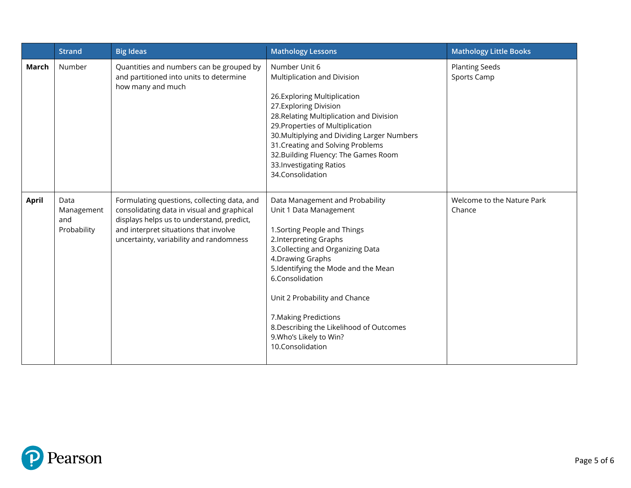|              | <b>Strand</b>                            | <b>Big Ideas</b>                                                                                                                                                                                                           | <b>Mathology Lessons</b>                                                                                                                                                                                                                                                                                                                                                                     | <b>Mathology Little Books</b>        |
|--------------|------------------------------------------|----------------------------------------------------------------------------------------------------------------------------------------------------------------------------------------------------------------------------|----------------------------------------------------------------------------------------------------------------------------------------------------------------------------------------------------------------------------------------------------------------------------------------------------------------------------------------------------------------------------------------------|--------------------------------------|
| March        | Number                                   | Quantities and numbers can be grouped by<br>and partitioned into units to determine<br>how many and much                                                                                                                   | Number Unit 6<br>Multiplication and Division<br>26.Exploring Multiplication<br>27. Exploring Division<br>28. Relating Multiplication and Division<br>29. Properties of Multiplication<br>30. Multiplying and Dividing Larger Numbers<br>31. Creating and Solving Problems<br>32. Building Fluency: The Games Room<br>33. Investigating Ratios<br>34.Consolidation                            | <b>Planting Seeds</b><br>Sports Camp |
| <b>April</b> | Data<br>Management<br>and<br>Probability | Formulating questions, collecting data, and<br>consolidating data in visual and graphical<br>displays helps us to understand, predict,<br>and interpret situations that involve<br>uncertainty, variability and randomness | Data Management and Probability<br>Unit 1 Data Management<br>1. Sorting People and Things<br>2. Interpreting Graphs<br>3. Collecting and Organizing Data<br>4. Drawing Graphs<br>5.Identifying the Mode and the Mean<br>6.Consolidation<br>Unit 2 Probability and Chance<br>7. Making Predictions<br>8. Describing the Likelihood of Outcomes<br>9. Who's Likely to Win?<br>10.Consolidation | Welcome to the Nature Park<br>Chance |